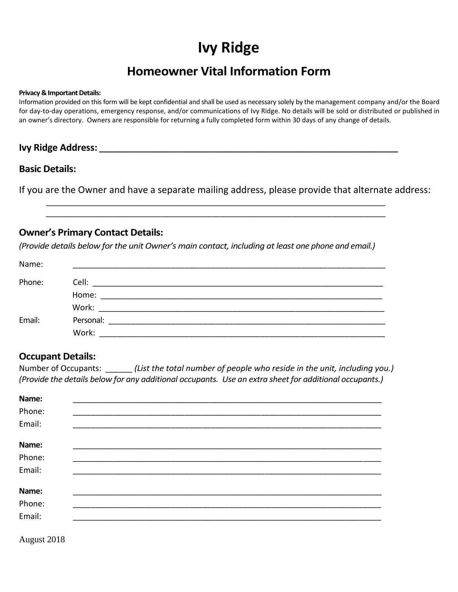# **Ivy Ridge**

## **Homeowner Vital Information Form**

#### **Privacy & Important Details:**

Information provided on this form will be kept confidential and shall be used as necessary solely by the management company and/or the Board for day-to-day operations, emergency response, and/or communications of Ivy Ridge. No details will be sold or distributed or published in an owner's directory. Owners are responsible for returning a fully completed form within 30 days of any change of details.

#### **Ivy Ridge Address: \_\_\_\_\_\_\_\_\_\_\_\_\_\_\_\_\_\_\_\_\_\_\_\_\_\_\_\_\_\_\_\_\_\_\_\_\_\_\_\_\_\_\_\_\_\_\_\_\_\_\_\_\_\_\_\_\_\_\_\_\_\_\_\_\_\_\_\_**

#### **Basic Details:**

If you are the Owner and have a separate mailing address, please provide that alternate address:

\_\_\_\_\_\_\_\_\_\_\_\_\_\_\_\_\_\_\_\_\_\_\_\_\_\_\_\_\_\_\_\_\_\_\_\_\_\_\_\_\_\_\_\_\_\_\_\_\_\_\_\_\_\_\_\_\_\_\_\_\_\_\_\_\_\_\_\_\_\_\_\_\_\_\_\_ \_\_\_\_\_\_\_\_\_\_\_\_\_\_\_\_\_\_\_\_\_\_\_\_\_\_\_\_\_\_\_\_\_\_\_\_\_\_\_\_\_\_\_\_\_\_\_\_\_\_\_\_\_\_\_\_\_\_\_\_\_\_\_\_\_\_\_\_\_\_\_\_\_\_\_\_

#### **Owner's Primary Contact Details:**

*(Provide details below for the unit Owner's main contact, including at least one phone and email.)*

| Name:  |                                                                                                                                    |  |
|--------|------------------------------------------------------------------------------------------------------------------------------------|--|
| Phone: |                                                                                                                                    |  |
|        | Home:                                                                                                                              |  |
|        |                                                                                                                                    |  |
| Email: | Personal:<br><u> 1980 - Johann Stein, martin breithing ar yn y breithing yn y breithing yn y breithing yn y breithing yn y bre</u> |  |
|        | Work:                                                                                                                              |  |

#### **Occupant Details:**

Number of Occupants: \_\_\_\_\_\_ *(List the total number of people who reside in the unit, including you.) (Provide the details below for any additional occupants. Use an extra sheet for additional occupants.)*

| Name:  |  |  |
|--------|--|--|
| Phone: |  |  |
| Email: |  |  |
| Name:  |  |  |
| Phone: |  |  |
| Email: |  |  |
| Name:  |  |  |
| Phone: |  |  |
| Email: |  |  |

August 2018